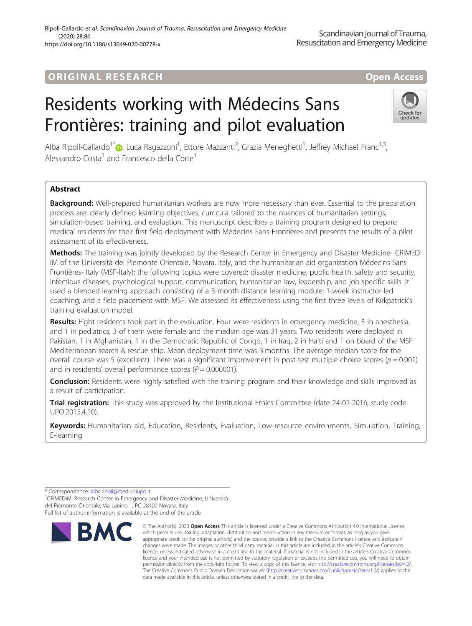#### Ripoll-Gallardo et al. Scandinavian Journal of Trauma, Resuscitation and Emergency Medicine (2020) 28:86 https://doi.org/10.1186/s13049-020-00778-x

# **ORIGINAL RESEARCH And Access** open Access of the United States of the United States of the United States of the U

# Residents working with Médecins Sans Frontières: training and pilot evaluation



Alba Ripoll-Gallardo<sup>1\*</sup>®, Luca Ragazzoni<sup>1</sup>, Ettore Mazzanti<sup>2</sup>, Grazia Meneghetti<sup>1</sup>, Jeffrey Michael Franc<sup>1,3</sup>, Alessandro Costa<sup>1</sup> and Francesco della Corte<sup>1</sup>

# Abstract

Background: Well-prepared humanitarian workers are now more necessary than ever. Essential to the preparation process are: clearly defined learning objectives, curricula tailored to the nuances of humanitarian settings, simulation-based training, and evaluation. This manuscript describes a training program designed to prepare medical residents for their first field deployment with Médecins Sans Frontières and presents the results of a pilot assessment of its effectiveness.

Methods: The training was jointly developed by the Research Center in Emergency and Disaster Medicine- CRIMED IM of the Università del Piemonte Orientale, Novara, Italy, and the humanitarian aid organization Médecins Sans Frontières- Italy (MSF-Italy); the following topics were covered: disaster medicine, public health, safety and security, infectious diseases, psychological support, communication, humanitarian law, leadership, and job-specific skills. It used a blended-learning approach consisting of a 3-month distance learning module; 1-week instructor-led coaching; and a field placement with MSF. We assessed its effectiveness using the first three levels of Kirkpatrick's training evaluation model.

Results: Eight residents took part in the evaluation. Four were residents in emergency medicine, 3 in anesthesia, and 1 in pediatrics; 3 of them were female and the median age was 31 years. Two residents were deployed in Pakistan, 1 in Afghanistan, 1 in the Democratic Republic of Congo, 1 in Iraq, 2 in Haiti and 1 on board of the MSF Mediterranean search & rescue ship. Mean deployment time was 3 months. The average median score for the overall course was 5 (excellent). There was a significant improvement in post-test multiple choice scores ( $p = 0.001$ ) and in residents' overall performance scores ( $P = 0.000001$ ).

**Conclusion:** Residents were highly satisfied with the training program and their knowledge and skills improved as a result of participation.

Trial registration: This study was approved by the Institutional Ethics Committee (date 24-02-2016, study code UPO.2015.4.10).

Keywords: Humanitarian aid, Education, Residents, Evaluation, Low-resource environments, Simulation, Training, E-learning

<sup>1</sup> CRIMEDIM, Research Center in Emergency and Disaster Medicine, Università del Piemonte Orientale, Via Lanino 1, PC 28100 Novara, Italy Full list of author information is available at the end of the article



<sup>©</sup> The Author(s), 2020 **Open Access** This article is licensed under a Creative Commons Attribution 4.0 International License, which permits use, sharing, adaptation, distribution and reproduction in any medium or format, as long as you give appropriate credit to the original author(s) and the source, provide a link to the Creative Commons licence, and indicate if changes were made. The images or other third party material in this article are included in the article's Creative Commons licence, unless indicated otherwise in a credit line to the material. If material is not included in the article's Creative Commons licence and your intended use is not permitted by statutory regulation or exceeds the permitted use, you will need to obtain permission directly from the copyright holder. To view a copy of this licence, visit [http://creativecommons.org/licenses/by/4.0/.](http://creativecommons.org/licenses/by/4.0/) The Creative Commons Public Domain Dedication waiver [\(http://creativecommons.org/publicdomain/zero/1.0/](http://creativecommons.org/publicdomain/zero/1.0/)) applies to the data made available in this article, unless otherwise stated in a credit line to the data.

<sup>\*</sup> Correspondence: [alba.ripoll@med.uniupo.it](mailto:alba.ripoll@med.uniupo.it) <sup>1</sup>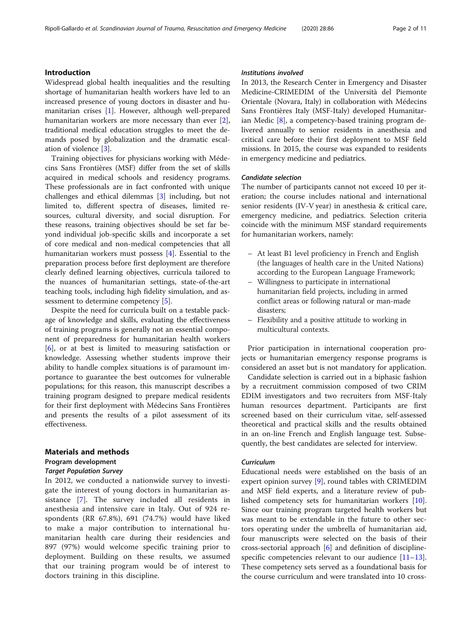# Introduction

Widespread global health inequalities and the resulting shortage of humanitarian health workers have led to an increased presence of young doctors in disaster and humanitarian crises [[1\]](#page-10-0). However, although well-prepared humanitarian workers are more necessary than ever [\[2](#page-10-0)], traditional medical education struggles to meet the demands posed by globalization and the dramatic escalation of violence [[3\]](#page-10-0).

Training objectives for physicians working with Médecins Sans Frontières (MSF) differ from the set of skills acquired in medical schools and residency programs. These professionals are in fact confronted with unique challenges and ethical dilemmas [\[3](#page-10-0)] including, but not limited to, different spectra of diseases, limited resources, cultural diversity, and social disruption. For these reasons, training objectives should be set far beyond individual job-specific skills and incorporate a set of core medical and non-medical competencies that all humanitarian workers must possess [\[4](#page-10-0)]. Essential to the preparation process before first deployment are therefore clearly defined learning objectives, curricula tailored to the nuances of humanitarian settings, state-of-the-art teaching tools, including high fidelity simulation, and assessment to determine competency [\[5](#page-10-0)].

Despite the need for curricula built on a testable package of knowledge and skills, evaluating the effectiveness of training programs is generally not an essential component of preparedness for humanitarian health workers [[6\]](#page-10-0), or at best is limited to measuring satisfaction or knowledge. Assessing whether students improve their ability to handle complex situations is of paramount importance to guarantee the best outcomes for vulnerable populations; for this reason, this manuscript describes a training program designed to prepare medical residents for their first deployment with Médecins Sans Frontières and presents the results of a pilot assessment of its effectiveness.

# Materials and methods

# Program development

#### Target Population Survey

In 2012, we conducted a nationwide survey to investigate the interest of young doctors in humanitarian assistance [\[7](#page-10-0)]. The survey included all residents in anesthesia and intensive care in Italy. Out of 924 respondents (RR 67.8%), 691 (74.7%) would have liked to make a major contribution to international humanitarian health care during their residencies and 897 (97%) would welcome specific training prior to deployment. Building on these results, we assumed that our training program would be of interest to doctors training in this discipline.

# Institutions involved

In 2013, the Research Center in Emergency and Disaster Medicine-CRIMEDIM of the Università del Piemonte Orientale (Novara, Italy) in collaboration with Médecins Sans Frontières Italy (MSF-Italy) developed Humanitarian Medic [\[8](#page-10-0)], a competency-based training program delivered annually to senior residents in anesthesia and critical care before their first deployment to MSF field missions. In 2015, the course was expanded to residents in emergency medicine and pediatrics.

# Candidate selection

The number of participants cannot not exceed 10 per iteration; the course includes national and international senior residents (IV-V year) in anesthesia & critical care, emergency medicine, and pediatrics. Selection criteria coincide with the minimum MSF standard requirements for humanitarian workers, namely:

- At least B1 level proficiency in French and English (the languages of health care in the United Nations) according to the European Language Framework;
- Willingness to participate in international humanitarian field projects, including in armed conflict areas or following natural or man-made disasters;
- Flexibility and a positive attitude to working in multicultural contexts.

Prior participation in international cooperation projects or humanitarian emergency response programs is considered an asset but is not mandatory for application.

Candidate selection is carried out in a biphasic fashion by a recruitment commission composed of two CRIM EDIM investigators and two recruiters from MSF-Italy human resources department. Participants are first screened based on their curriculum vitae, self-assessed theoretical and practical skills and the results obtained in an on-line French and English language test. Subsequently, the best candidates are selected for interview.

# Curriculum

Educational needs were established on the basis of an expert opinion survey [\[9](#page-10-0)], round tables with CRIMEDIM and MSF field experts, and a literature review of published competency sets for humanitarian workers [\[10](#page-10-0)]. Since our training program targeted health workers but was meant to be extendable in the future to other sectors operating under the umbrella of humanitarian aid, four manuscripts were selected on the basis of their cross-sectorial approach [\[6](#page-10-0)] and definition of disciplinespecific competencies relevant to our audience  $[11-13]$  $[11-13]$  $[11-13]$  $[11-13]$  $[11-13]$ . These competency sets served as a foundational basis for the course curriculum and were translated into 10 cross-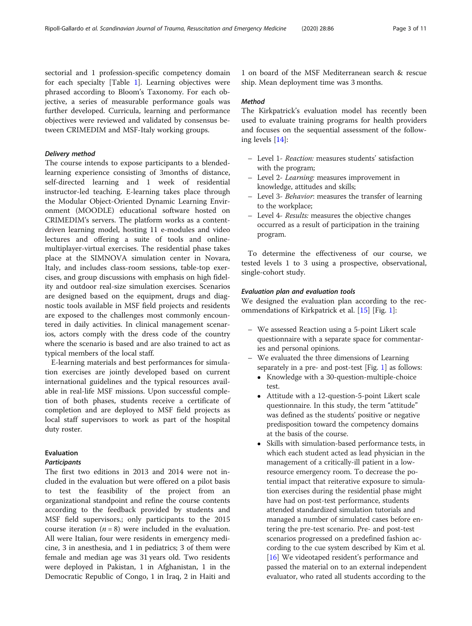sectorial and 1 profession-specific competency domain for each specialty [Table [1](#page-3-0)]. Learning objectives were phrased according to Bloom's Taxonomy. For each objective, a series of measurable performance goals was further developed. Curricula, learning and performance objectives were reviewed and validated by consensus between CRIMEDIM and MSF-Italy working groups.

#### Delivery method

The course intends to expose participants to a blendedlearning experience consisting of 3months of distance, self-directed learning and 1 week of residential instructor-led teaching. E-learning takes place through the Modular Object-Oriented Dynamic Learning Environment (MOODLE) educational software hosted on CRIMEDIM's servers. The platform works as a contentdriven learning model, hosting 11 e-modules and video lectures and offering a suite of tools and onlinemultiplayer-virtual exercises. The residential phase takes place at the SIMNOVA simulation center in Novara, Italy, and includes class-room sessions, table-top exercises, and group discussions with emphasis on high fidelity and outdoor real-size simulation exercises. Scenarios are designed based on the equipment, drugs and diagnostic tools available in MSF field projects and residents are exposed to the challenges most commonly encountered in daily activities. In clinical management scenarios, actors comply with the dress code of the country where the scenario is based and are also trained to act as typical members of the local staff.

E-learning materials and best performances for simulation exercises are jointly developed based on current international guidelines and the typical resources available in real-life MSF missions. Upon successful completion of both phases, students receive a certificate of completion and are deployed to MSF field projects as local staff supervisors to work as part of the hospital duty roster.

# Evaluation

# **Participants**

The first two editions in 2013 and 2014 were not included in the evaluation but were offered on a pilot basis to test the feasibility of the project from an organizational standpoint and refine the course contents according to the feedback provided by students and MSF field supervisors.; only participants to the 2015 course iteration  $(n = 8)$  were included in the evaluation. All were Italian, four were residents in emergency medicine, 3 in anesthesia, and 1 in pediatrics; 3 of them were female and median age was 31 years old. Two residents were deployed in Pakistan, 1 in Afghanistan, 1 in the Democratic Republic of Congo, 1 in Iraq, 2 in Haiti and

1 on board of the MSF Mediterranean search & rescue ship. Mean deployment time was 3 months.

#### Method

The Kirkpatrick's evaluation model has recently been used to evaluate training programs for health providers and focuses on the sequential assessment of the following levels [[14](#page-10-0)]:

- Level 1- Reaction: measures students' satisfaction with the program;
- Level 2- Learning: measures improvement in knowledge, attitudes and skills;
- Level 3- Behavior: measures the transfer of learning to the workplace;
- Level 4- Results: measures the objective changes occurred as a result of participation in the training program.

To determine the effectiveness of our course, we tested levels 1 to 3 using a prospective, observational, single-cohort study.

#### Evaluation plan and evaluation tools

We designed the evaluation plan according to the recommendations of Kirkpatrick et al. [\[15](#page-10-0)] [Fig. [1\]](#page-5-0):

- We assessed Reaction using a 5-point Likert scale questionnaire with a separate space for commentaries and personal opinions.
- We evaluated the three dimensions of Learning separately in a pre- and post-test [Fig. [1](#page-5-0)] as follows:
	- Knowledge with a 30-question-multiple-choice test.
	- Attitude with a 12-question-5-point Likert scale questionnaire. In this study, the term "attitude" was defined as the students' positive or negative predisposition toward the competency domains at the basis of the course.
	- Skills with simulation-based performance tests, in which each student acted as lead physician in the management of a critically-ill patient in a lowresource emergency room. To decrease the potential impact that reiterative exposure to simulation exercises during the residential phase might have had on post-test performance, students attended standardized simulation tutorials and managed a number of simulated cases before entering the pre-test scenario. Pre- and post-test scenarios progressed on a predefined fashion according to the cue system described by Kim et al. [[16](#page-10-0)] We videotaped resident's performance and passed the material on to an external independent evaluator, who rated all students according to the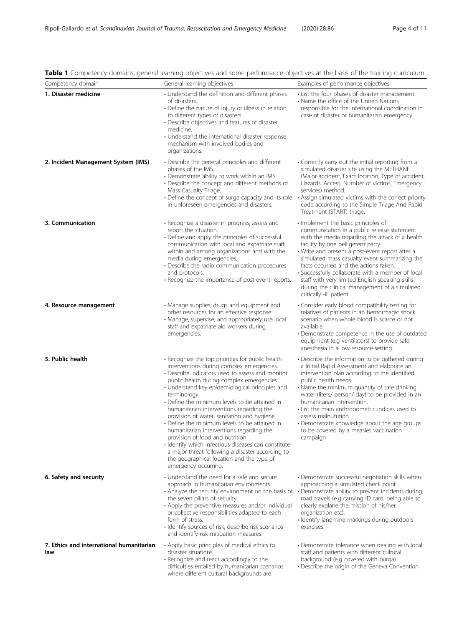| Competency domain                               | General learning objectives                                                                                                                                                                                                                                                                                                                                                                                                                                                                                                                                                                                                                                                                                                    | Examples of performance objectives                                                                                                                                                                                                                                                                                                                                                                                                                                                                          |  |
|-------------------------------------------------|--------------------------------------------------------------------------------------------------------------------------------------------------------------------------------------------------------------------------------------------------------------------------------------------------------------------------------------------------------------------------------------------------------------------------------------------------------------------------------------------------------------------------------------------------------------------------------------------------------------------------------------------------------------------------------------------------------------------------------|-------------------------------------------------------------------------------------------------------------------------------------------------------------------------------------------------------------------------------------------------------------------------------------------------------------------------------------------------------------------------------------------------------------------------------------------------------------------------------------------------------------|--|
| 1. Disaster medicine                            | • Understand the definition and different phases<br>of disasters.<br>• Define the nature of injury or illness in relation<br>to different types of disasters.<br>• Describe objectives and features of disaster<br>medicine.<br>• Understand the international disaster response<br>mechanism with involved bodies and<br>organizations.                                                                                                                                                                                                                                                                                                                                                                                       | • List the four phases of disaster management<br>• Name the office of the United Nations<br>responsible for the international coordination in<br>case of disaster or humanitarian emergency                                                                                                                                                                                                                                                                                                                 |  |
| 2. Incident Management System (IMS)             | • Describe the general principles and different<br>phases of the IMS.<br>• Demonstrate ability to work within an IMS.<br>• Describe the concept and different methods of<br>Mass Casualty Triage.<br>• Define the concept of surge capacity and its role<br>in unforeseen emergencies and disasters.                                                                                                                                                                                                                                                                                                                                                                                                                           | • Correctly carry out the initial reporting from a<br>simulated disaster site using the METHANE<br>(Major accident, Exact location, Type of accident,<br>Hazards, Access, Number of victims, Emergency<br>services) method.<br>• Assign simulated victims with the correct priority<br>code according to the Simple Triage And Rapid<br>Treatment (START) triage.                                                                                                                                           |  |
| 3. Communication                                | • Recognize a disaster in progress, assess and<br>report the situation.<br>• Define and apply the principles of successful<br>communication with local and expatriate staff,<br>within and among organizations and with the<br>media during emergencies.<br>• Describe the radio communication procedures<br>and protocols.<br>• Recognize the importance of post-event reports.                                                                                                                                                                                                                                                                                                                                               | Implement the basic principles of<br>communication in a public release statement<br>with the media regarding the attack of a health<br>facility by one belligerent party.<br>• Write and present a post-event report after a<br>simulated mass casualty event summarizing the<br>facts occurred and the actions taken.<br>• Successfully collaborate with a member of local<br>staff with very limited English speaking skills<br>during the clinical management of a simulated<br>critically -ill patient. |  |
| 4. Resource management                          | • Manage supplies, drugs and equipment and<br>other resources for an effective response.<br>• Manage, supervise, and appropriately use local<br>staff and expatriate aid workers during<br>emergencies.                                                                                                                                                                                                                                                                                                                                                                                                                                                                                                                        | • Consider early blood compatibility testing for<br>relatives of patients in an hemorrhagic shock<br>scenario when whole blood is scarce or not<br>available.<br>• Demonstrate competence in the use of outdated<br>equipment (e.g ventilators) to provide safe<br>anesthesia in a low-resource-setting.                                                                                                                                                                                                    |  |
| 5. Public health                                | • Recognize the top priorities for public health<br>interventions during complex emergencies.<br>• Describe indicators used to assess and monitor<br>public health during complex emergencies.<br>• Understand key epidemiological principles and<br>terminology.<br>• Define the minimum levels to be attained in<br>humanitarian interventions regarding the<br>provision of water, sanitation and hygiene.<br>• Define the minimum levels to be attained in<br>humanitarian interventions regarding the<br>provision of food and nutrition.<br>· Identify which infectious diseases can constitute<br>a major threat following a disaster according to<br>the geographical location and the type of<br>emergency occurring. | • Describe the information to be gathered during<br>a Initial Rapid Assessment and elaborate an<br>intervention plan according to the identified<br>public health needs.<br>• Name the minimum quantity of safe drinking<br>water (liters/ person/ day) to be provided in an<br>humanitarian intervention.<br>• List the main anthropometric indices used to<br>assess malnutrition.<br>• Demonstrate knowledge about the age groups<br>to be covered by a measles vaccination<br>campaign                  |  |
| 6. Safety and security                          | • Understand the need for a safe and secure<br>approach in humanitarian environments.<br>• Analyze the security environment on the basis of • Demonstrate ability to prevent incidents during<br>the seven pillars of security.<br>• Apply the preventive measures and/or individual<br>or collective responsibilities adapted to each<br>form of stress.<br>· Identify sources of risk, describe risk scenarios<br>and identify risk mitigation measures.                                                                                                                                                                                                                                                                     | • Demonstrate successful negotiation skills when<br>approaching a simulated check point.<br>road travels (e.g carrying ID card, being able to<br>clearly explane the mission of his/her<br>organization etc).<br>· Identify landmine markings during outdoors<br>exercises                                                                                                                                                                                                                                  |  |
| 7. Ethics and international humanitarian<br>law | • Apply basic principles of medical ethics to<br>disaster situations.<br>• Recognize and react accordingly to the<br>difficulties entailed by humanitarian scenarios<br>where different cultural backgrounds are                                                                                                                                                                                                                                                                                                                                                                                                                                                                                                               | • Demonstrate tolerance when dealing with local<br>staff and patients with different cultural<br>background (e.g covered with burga).<br>• Describe the origin of the Geneva Convention                                                                                                                                                                                                                                                                                                                     |  |

# <span id="page-3-0"></span>Table 1 Competency domains, general learning objectives and some performance objectives at the basis of the training curriculum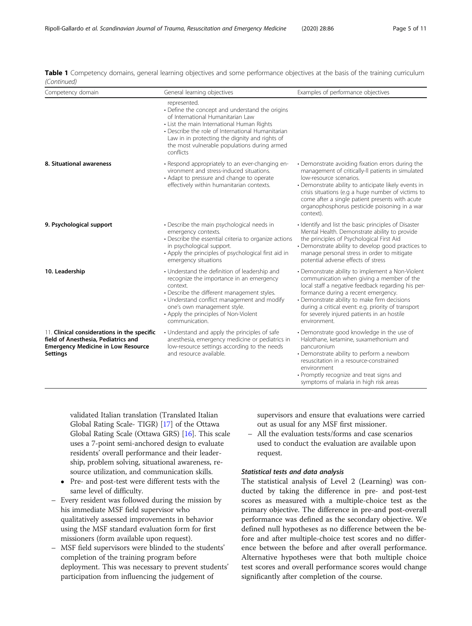| Competency domain                                                                                                                                  | General learning objectives                                                                                                                                                                                                                                                                                            | Examples of performance objectives                                                                                                                                                                                                                                                                                                                               |
|----------------------------------------------------------------------------------------------------------------------------------------------------|------------------------------------------------------------------------------------------------------------------------------------------------------------------------------------------------------------------------------------------------------------------------------------------------------------------------|------------------------------------------------------------------------------------------------------------------------------------------------------------------------------------------------------------------------------------------------------------------------------------------------------------------------------------------------------------------|
|                                                                                                                                                    | represented.<br>• Define the concept and understand the origins<br>of International Humanitarian Law<br>• List the main International Human Rights<br>• Describe the role of International Humanitarian<br>Law in in protecting the dignity and rights of<br>the most vulnerable populations during armed<br>conflicts |                                                                                                                                                                                                                                                                                                                                                                  |
| 8. Situational awareness                                                                                                                           | · Respond appropriately to an ever-changing en-<br>vironment and stress-induced situations.<br>• Adapt to pressure and change to operate<br>effectively within humanitarian contexts.                                                                                                                                  | • Demonstrate avoiding fixation errors during the<br>management of critically-II patients in simulated<br>low-resource scenarios.<br>• Demonstrate ability to anticipate likely events in<br>crisis situations (e.g a huge number of victims to<br>come after a single patient presents with acute<br>organophosphorus pesticide poisoning in a war<br>context). |
| 9. Psychological support                                                                                                                           | • Describe the main psychological needs in<br>emergency contexts.<br>• Describe the essential criteria to organize actions<br>in psychological support.<br>• Apply the principles of psychological first aid in<br>emergency situations                                                                                | • Identify and list the basic principles of Disaster<br>Mental Health. Demonstrate ability to provide<br>the principles of Psychological First Aid<br>• Demonstrate ability to develop good practices to<br>manage personal stress in order to mitigate<br>potential adverse effects of stress                                                                   |
| 10. Leadership                                                                                                                                     | • Understand the definition of leadership and<br>recognize the importance in an emergency<br>context.<br>• Describe the different management styles.<br>• Understand conflict management and modify<br>one's own management style.<br>• Apply the principles of Non-Violent<br>communication.                          | • Demonstrate ability to implement a Non-Violent<br>communication when giving a member of the<br>local staff a negative feedback regarding his per-<br>formance during a recent emergency.<br>• Demonstrate ability to make firm decisions<br>during a critical event: e.g. priority of transport<br>for severely injured patients in an hostile<br>environment. |
| 11. Clinical considerations in the specific<br>field of Anesthesia, Pediatrics and<br><b>Emergency Medicine in Low Resource</b><br><b>Settings</b> | • Understand and apply the principles of safe<br>anesthesia, emergency medicine or pediatrics in<br>low-resource settings according to the needs<br>and resource available.                                                                                                                                            | • Demonstrate good knowledge in the use of<br>Halothane, ketamine, suxamethonium and<br>pancuronium<br>• Demonstrate ability to perform a newborn<br>resuscitation in a resource-constrained<br>environment<br>• Promptly recognize and treat signs and<br>symptoms of malaria in high risk areas                                                                |

Table 1 Competency domains, general learning objectives and some performance objectives at the basis of the training curriculum (Continued)

validated Italian translation (Translated Italian Global Rating Scale- TIGR) [[17](#page-10-0)] of the Ottawa Global Rating Scale (Ottawa GRS) [[16](#page-10-0)]. This scale uses a 7-point semi-anchored design to evaluate residents' overall performance and their leadership, problem solving, situational awareness, resource utilization, and communication skills.

- Pre- and post-test were different tests with the same level of difficulty.
- Every resident was followed during the mission by his immediate MSF field supervisor who qualitatively assessed improvements in behavior using the MSF standard evaluation form for first missioners (form available upon request).
- MSF field supervisors were blinded to the students' completion of the training program before deployment. This was necessary to prevent students' participation from influencing the judgement of

supervisors and ensure that evaluations were carried out as usual for any MSF first missioner.

– All the evaluation tests/forms and case scenarios used to conduct the evaluation are available upon request.

# Statistical tests and data analysis

The statistical analysis of Level 2 (Learning) was conducted by taking the difference in pre- and post-test scores as measured with a multiple-choice test as the primary objective. The difference in pre-and post-overall performance was defined as the secondary objective. We defined null hypotheses as no difference between the before and after multiple-choice test scores and no difference between the before and after overall performance. Alternative hypotheses were that both multiple choice test scores and overall performance scores would change significantly after completion of the course.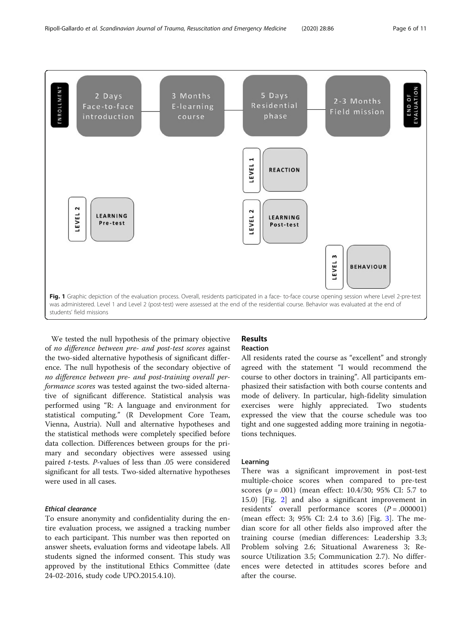<span id="page-5-0"></span>

We tested the null hypothesis of the primary objective of no difference between pre- and post-test scores against the two-sided alternative hypothesis of significant difference. The null hypothesis of the secondary objective of no difference between pre- and post-training overall performance scores was tested against the two-sided alternative of significant difference. Statistical analysis was performed using "R: A language and environment for statistical computing." (R Development Core Team, Vienna, Austria). Null and alternative hypotheses and the statistical methods were completely specified before data collection. Differences between groups for the primary and secondary objectives were assessed using paired t-tests. P-values of less than .05 were considered significant for all tests. Two-sided alternative hypotheses were used in all cases.

# Ethical clearance

To ensure anonymity and confidentiality during the entire evaluation process, we assigned a tracking number to each participant. This number was then reported on answer sheets, evaluation forms and videotape labels. All students signed the informed consent. This study was approved by the institutional Ethics Committee (date 24-02-2016, study code UPO.2015.4.10).

# Results Reaction

All residents rated the course as "excellent" and strongly agreed with the statement "I would recommend the course to other doctors in training". All participants emphasized their satisfaction with both course contents and mode of delivery. In particular, high-fidelity simulation exercises were highly appreciated. Two students expressed the view that the course schedule was too tight and one suggested adding more training in negotiations techniques.

# Learning

There was a significant improvement in post-test multiple-choice scores when compared to pre-test scores ( $p = .001$ ) (mean effect: 10.4/30; 95% CI: 5.7 to 15.0) [Fig. [2](#page-6-0)] and also a significant improvement in residents' overall performance scores  $(P = .000001)$ (mean effect: 3; 95% CI: 2.4 to 3.6) [Fig. [3](#page-6-0)]. The median score for all other fields also improved after the training course (median differences: Leadership 3.3; Problem solving 2.6; Situational Awareness 3; Resource Utilization 3.5; Communication 2.7). No differences were detected in attitudes scores before and after the course.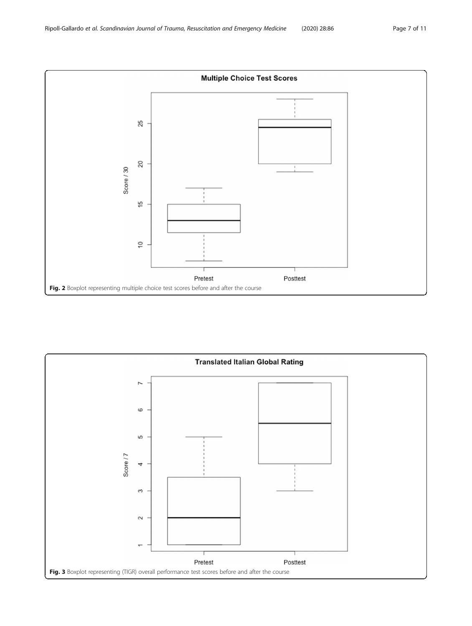<span id="page-6-0"></span>

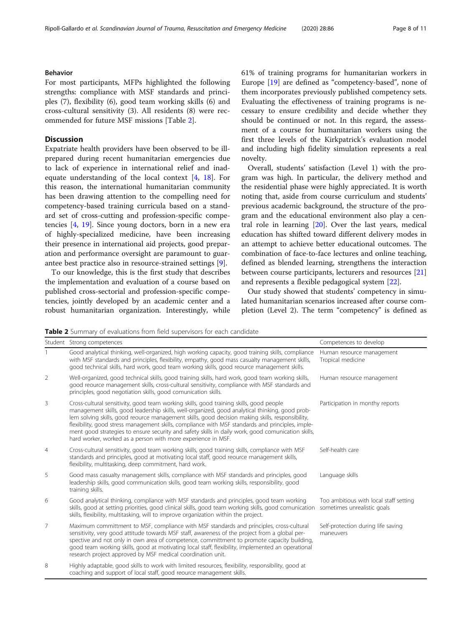# Behavior

For most participants, MFPs highlighted the following strengths: compliance with MSF standards and principles (7), flexibility (6), good team working skills (6) and cross-cultural sensitivity (3). All residents (8) were recommended for future MSF missions [Table 2].

# Discussion

Expatriate health providers have been observed to be illprepared during recent humanitarian emergencies due to lack of experience in international relief and inadequate understanding of the local context [[4,](#page-10-0) [18](#page-10-0)]. For this reason, the international humanitarian community has been drawing attention to the compelling need for competency-based training curricula based on a standard set of cross-cutting and profession-specific competencies [[4,](#page-10-0) [19\]](#page-10-0). Since young doctors, born in a new era of highly-specialized medicine, have been increasing their presence in international aid projects, good preparation and performance oversight are paramount to guarantee best practice also in resource-strained settings [[9\]](#page-10-0).

To our knowledge, this is the first study that describes the implementation and evaluation of a course based on published cross-sectorial and profession-specific competencies, jointly developed by an academic center and a robust humanitarian organization. Interestingly, while 61% of training programs for humanitarian workers in Europe [[19](#page-10-0)] are defined as "competency-based", none of them incorporates previously published competency sets. Evaluating the effectiveness of training programs is necessary to ensure credibility and decide whether they should be continued or not. In this regard, the assessment of a course for humanitarian workers using the first three levels of the Kirkpatrick's evaluation model and including high fidelity simulation represents a real novelty.

Overall, students' satisfaction (Level 1) with the program was high. In particular, the delivery method and the residential phase were highly appreciated. It is worth noting that, aside from course curriculum and students' previous academic background, the structure of the program and the educational environment also play a central role in learning [[20\]](#page-10-0). Over the last years, medical education has shifted toward different delivery modes in an attempt to achieve better educational outcomes. The combination of face-to-face lectures and online teaching, defined as blended learning, strengthens the interaction between course participants, lecturers and resources [[21](#page-10-0)] and represents a flexible pedagogical system [[22](#page-10-0)].

Our study showed that students' competency in simulated humanitarian scenarios increased after course completion (Level 2). The term "competency" is defined as

Table 2 Summary of evaluations from field supervisors for each candidate

|                | Student Strong competences                                                                                                                                                                                                                                                                                                                                                                                                                                                                                                                                               | Competences to develop                                                |
|----------------|--------------------------------------------------------------------------------------------------------------------------------------------------------------------------------------------------------------------------------------------------------------------------------------------------------------------------------------------------------------------------------------------------------------------------------------------------------------------------------------------------------------------------------------------------------------------------|-----------------------------------------------------------------------|
|                | Good analytical thinking, well-organized, high working capacity, good training skills, compliance<br>with MSF standards and principles, flexibility, empathy, good mass casualty management skills,<br>good technical skills, hard work, good team working skills, good reource management skills.                                                                                                                                                                                                                                                                       | Human resource management<br>Tropical medicine                        |
| 2              | Well-organized, good technical skills, good training skills, hard work, good team working skills,<br>good reource management skills, cross-cultural sensitivity, compliance with MSF standards and<br>principles, good negotiation skills, good comunication skills.                                                                                                                                                                                                                                                                                                     | Human resource management                                             |
| 3              | Cross-cultural sensitivity, good team working skills, good training skills, good people<br>management skills, good leadership skills, well-organized, good analytical thinking, good prob-<br>lem solving skills, good reource management skills, good decision making skills, responsibility,<br>flexibility, good stress management skills, compliance with MSF standards and principles, imple-<br>ment good strategies to ensure security and safety skills in daily work, good comunication skills,<br>hard worker, worked as a person with more experience in MSF. | Participation in monthy reports                                       |
| 4              | Cross-cultural sensitivity, good team working skills, good training skills, compliance with MSF<br>standards and principles, good at motivating local staff, good reource management skills,<br>flexibility, multitasking, deep commitment, hard work.                                                                                                                                                                                                                                                                                                                   | Self-health care                                                      |
| 5              | Good mass casualty management skills, compliance with MSF standards and principles, good<br>leadership skills, good communication skills, good team working skills, responsibility, good<br>training skills.                                                                                                                                                                                                                                                                                                                                                             | Language skills                                                       |
| 6              | Good analytical thinking, compliance with MSF standards and principles, good team working<br>skills, good at setting priorities, good clinical skills, good team working skills, good comunication<br>skills, flexibility, multitasking, will to improve organization within the project.                                                                                                                                                                                                                                                                                | Too ambitious with local staff setting<br>sometimes unrealistic goals |
| $\overline{7}$ | Maximum committment to MSF, compliance with MSF standards and principles, cross-cultural<br>sensitivity, very good attitude towards MSF staff, awareness of the project from a global per-<br>spective and not only in own area of competence, committment to promote capacity building,<br>good team working skills, good at motivating local staff, flexibility, implemented an operational<br>research project approved by MSF medical coordination unit.                                                                                                             | Self-protection during life saving<br>maneuvers                       |
| 8              | Highly adaptable, good skills to work with limited resources, flexibility, responsibility, good at<br>coaching and support of local staff, good reource management skills.                                                                                                                                                                                                                                                                                                                                                                                               |                                                                       |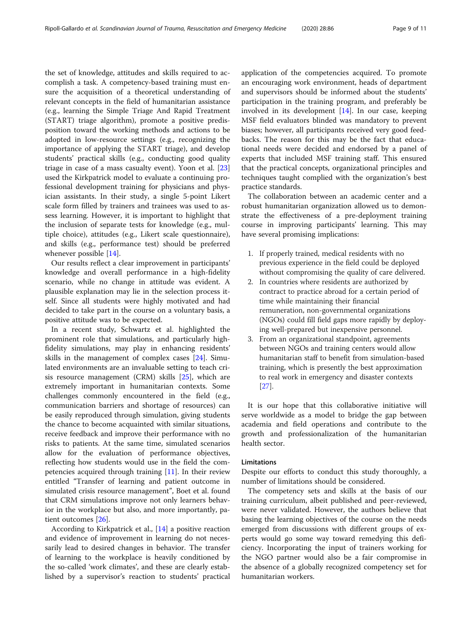the set of knowledge, attitudes and skills required to accomplish a task. A competency-based training must ensure the acquisition of a theoretical understanding of relevant concepts in the field of humanitarian assistance (e.g., learning the Simple Triage And Rapid Treatment (START) triage algorithm), promote a positive predisposition toward the working methods and actions to be adopted in low-resource settings (e.g., recognizing the importance of applying the START triage), and develop students' practical skills (e.g., conducting good quality triage in case of a mass casualty event). Yoon et al. [[23](#page-10-0)] used the Kirkpatrick model to evaluate a continuing professional development training for physicians and physician assistants. In their study, a single 5-point Likert scale form filled by trainers and trainees was used to assess learning. However, it is important to highlight that the inclusion of separate tests for knowledge (e.g., multiple choice), attitudes (e.g., Likert scale questionnaire), and skills (e.g., performance test) should be preferred whenever possible [\[14](#page-10-0)].

Our results reflect a clear improvement in participants' knowledge and overall performance in a high-fidelity scenario, while no change in attitude was evident. A plausible explanation may lie in the selection process itself. Since all students were highly motivated and had decided to take part in the course on a voluntary basis, a positive attitude was to be expected.

In a recent study, Schwartz et al. highlighted the prominent role that simulations, and particularly highfidelity simulations, may play in enhancing residents' skills in the management of complex cases [[24](#page-10-0)]. Simulated environments are an invaluable setting to teach crisis resource management (CRM) skills [\[25\]](#page-10-0), which are extremely important in humanitarian contexts. Some challenges commonly encountered in the field (e.g., communication barriers and shortage of resources) can be easily reproduced through simulation, giving students the chance to become acquainted with similar situations, receive feedback and improve their performance with no risks to patients. At the same time, simulated scenarios allow for the evaluation of performance objectives, reflecting how students would use in the field the competencies acquired through training [[11\]](#page-10-0). In their review entitled "Transfer of learning and patient outcome in simulated crisis resource management", Boet et al. found that CRM simulations improve not only learners behavior in the workplace but also, and more importantly, patient outcomes [[26\]](#page-10-0).

According to Kirkpatrick et al., [\[14](#page-10-0)] a positive reaction and evidence of improvement in learning do not necessarily lead to desired changes in behavior. The transfer of learning to the workplace is heavily conditioned by the so-called 'work climates', and these are clearly established by a supervisor's reaction to students' practical application of the competencies acquired. To promote an encouraging work environment, heads of department and supervisors should be informed about the students' participation in the training program, and preferably be involved in its development [\[14\]](#page-10-0). In our case, keeping MSF field evaluators blinded was mandatory to prevent biases; however, all participants received very good feedbacks. The reason for this may be the fact that educational needs were decided and endorsed by a panel of experts that included MSF training staff. This ensured that the practical concepts, organizational principles and techniques taught complied with the organization's best practice standards.

The collaboration between an academic center and a robust humanitarian organization allowed us to demonstrate the effectiveness of a pre-deployment training course in improving participants' learning. This may have several promising implications:

- 1. If properly trained, medical residents with no previous experience in the field could be deployed without compromising the quality of care delivered.
- 2. In countries where residents are authorized by contract to practice abroad for a certain period of time while maintaining their financial remuneration, non-governmental organizations (NGOs) could fill field gaps more rapidly by deploying well-prepared but inexpensive personnel.
- 3. From an organizational standpoint, agreements between NGOs and training centers would allow humanitarian staff to benefit from simulation-based training, which is presently the best approximation to real work in emergency and disaster contexts [[27](#page-10-0)].

It is our hope that this collaborative initiative will serve worldwide as a model to bridge the gap between academia and field operations and contribute to the growth and professionalization of the humanitarian health sector.

#### Limitations

Despite our efforts to conduct this study thoroughly, a number of limitations should be considered.

The competency sets and skills at the basis of our training curriculum, albeit published and peer-reviewed, were never validated. However, the authors believe that basing the learning objectives of the course on the needs emerged from discussions with different groups of experts would go some way toward remedying this deficiency. Incorporating the input of trainers working for the NGO partner would also be a fair compromise in the absence of a globally recognized competency set for humanitarian workers.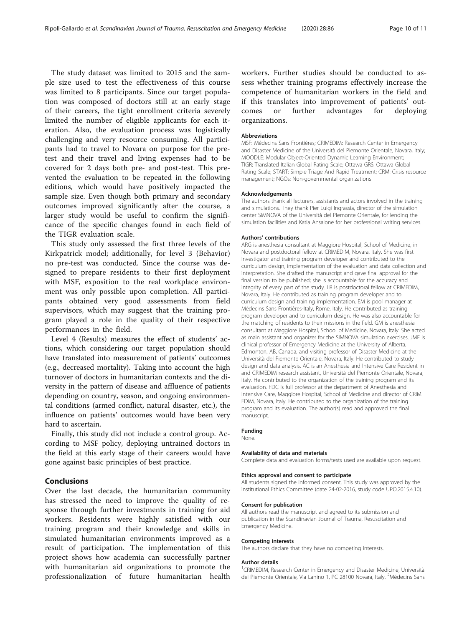The study dataset was limited to 2015 and the sample size used to test the effectiveness of this course was limited to 8 participants. Since our target population was composed of doctors still at an early stage of their careers, the tight enrollment criteria severely limited the number of eligible applicants for each iteration. Also, the evaluation process was logistically challenging and very resource consuming. All participants had to travel to Novara on purpose for the pretest and their travel and living expenses had to be covered for 2 days both pre- and post-test. This prevented the evaluation to be repeated in the following editions, which would have positively impacted the sample size. Even though both primary and secondary outcomes improved significantly after the course, a larger study would be useful to confirm the significance of the specific changes found in each field of the TIGR evaluation scale.

This study only assessed the first three levels of the Kirkpatrick model; additionally, for level 3 (Behavior) no pre-test was conducted. Since the course was designed to prepare residents to their first deployment with MSF, exposition to the real workplace environment was only possible upon completion. All participants obtained very good assessments from field supervisors, which may suggest that the training program played a role in the quality of their respective performances in the field.

Level 4 (Results) measures the effect of students' actions, which considering our target population should have translated into measurement of patients' outcomes (e.g., decreased mortality). Taking into account the high turnover of doctors in humanitarian contexts and the diversity in the pattern of disease and affluence of patients depending on country, season, and ongoing environmental conditions (armed conflict, natural disaster, etc.), the influence on patients' outcomes would have been very hard to ascertain.

Finally, this study did not include a control group. According to MSF policy, deploying untrained doctors in the field at this early stage of their careers would have gone against basic principles of best practice.

# Conclusions

Over the last decade, the humanitarian community has stressed the need to improve the quality of response through further investments in training for aid workers. Residents were highly satisfied with our training program and their knowledge and skills in simulated humanitarian environments improved as a result of participation. The implementation of this project shows how academia can successfully partner with humanitarian aid organizations to promote the professionalization of future humanitarian health workers. Further studies should be conducted to assess whether training programs effectively increase the competence of humanitarian workers in the field and if this translates into improvement of patients' outcomes or further advantages for deploying organizations.

#### Abbreviations

MSF: Médecins Sans Frontières; CRIMEDIM: Research Center in Emergency and Disaster Medicine of the Università del Piemonte Orientale, Novara, Italy; MOODLE: Modular Object-Oriented Dynamic Learning Environment; TIGR: Translated Italian Global Rating Scale; Ottawa GRS: Ottawa Global Rating Scale; START: Simple Triage And Rapid Treatment; CRM: Crisis resource management; NGOs: Non-governmental organizations

#### Acknowledgements

The authors thank all lecturers, assistants and actors involved in the training and simulations. They thank Pier Luigi Ingrassia, director of the simulation center SIMNOVA of the Università del Piemonte Orientale, for lending the simulation facilities and Katia Ansalone for her professional writing services.

#### Authors' contributions

ARG is anesthesia consultant at Maggiore Hospital, School of Medicine, in Novara and postdoctoral fellow at CRIMEDIM, Novara, Italy. She was first investigator and training program developer and contributed to the curriculum design, implementation of the evaluation and data collection and interpretation. She drafted the manuscript and gave final approval for the final version to be published; she is accountable for the accuracy and integrity of every part of the study. LR is postdoctoral fellow at CRIMEDIM, Novara, Italy. He contributed as training program developer and to curriculum design and training implementation. EM is pool manager at Médecins Sans Frontières-Italy, Rome, Italy. He contributed as training program developer and to curriculum design. He was also accountable for the matching of residents to their missions in the field. GM is anesthesia consultant at Maggiore Hospital, School of Medicine, Novara, Italy. She acted as main assistant and organizer for the SIMNOVA simulation exercises. JMF is clinical professor of Emergency Medicine at the University of Alberta, Edmonton, AB, Canada, and visiting professor of Disaster Medicine at the Università del Piemonte Orientale, Novara, Italy. He contributed to study design and data analysis. AC is an Anesthesia and Intensive Care Resident in and CRIMEDIM research assistant, Università del Piemonte Orientale, Novara, Italy. He contributed to the organization of the training program and its evaluation. FDC is full professor at the department of Anesthesia and Intensive Care, Maggiore Hospital, School of Medicine and director of CRIM EDIM, Novara, Italy. He contributed to the organization of the training program and its evaluation. The author(s) read and approved the final manuscript.

#### Funding

None.

#### Availability of data and materials

Complete data and evaluation forms/tests used are available upon request.

#### Ethics approval and consent to participate

All students signed the informed consent. This study was approved by the institutional Ethics Committee (date 24-02-2016, study code UPO.2015.4.10).

#### Consent for publication

All authors read the manuscript and agreed to its submission and publication in the Scandinavian Journal of Trauma, Resuscitation and Emergency Medicine.

#### Competing interests

The authors declare that they have no competing interests.

#### Author details

<sup>1</sup> CRIMEDIM, Research Center in Emergency and Disaster Medicine, Università del Piemonte Orientale, Via Lanino 1, PC 28100 Novara, Italy. <sup>2</sup>Médecins Sans